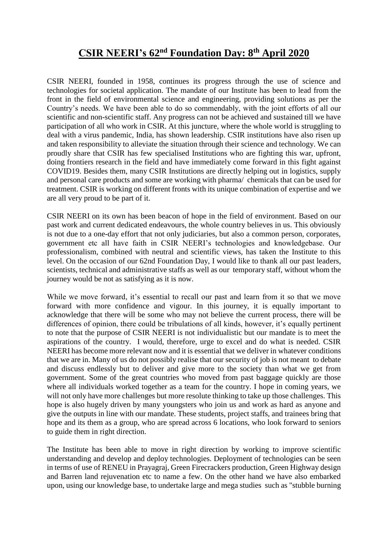# **CSIR NEERI's 62nd Foundation Day: 8th April 2020**

CSIR NEERI, founded in 1958, continues its progress through the use of science and technologies for societal application. The mandate of our Institute has been to lead from the front in the field of environmental science and engineering, providing solutions as per the Country's needs. We have been able to do so commendably, with the joint efforts of all our scientific and non-scientific staff. Any progress can not be achieved and sustained till we have participation of all who work in CSIR. At this juncture, where the whole world is struggling to deal with a virus pandemic, India, has shown leadership. CSIR institutions have also risen up and taken responsibility to alleviate the situation through their science and technology. We can proudly share that CSIR has few specialised Institutions who are fighting this war, upfront, doing frontiers research in the field and have immediately come forward in this fight against COVID19. Besides them, many CSIR Institutions are directly helping out in logistics, supply and personal care products and some are working with pharma/ chemicals that can be used for treatment. CSIR is working on different fronts with its unique combination of expertise and we are all very proud to be part of it.

CSIR NEERI on its own has been beacon of hope in the field of environment. Based on our past work and current dedicated endeavours, the whole country believes in us. This obviously is not due to a one-day effort that not only judiciaries, but also a common person, corporates, government etc all have faith in CSIR NEERI's technologies and knowledgebase. Our professionalism, combined with neutral and scientific views, has taken the Institute to this level. On the occasion of our 62nd Foundation Day, I would like to thank all our past leaders, scientists, technical and administrative staffs as well as our temporary staff, without whom the journey would be not as satisfying as it is now.

While we move forward, it's essential to recall our past and learn from it so that we move forward with more confidence and vigour. In this journey, it is equally important to acknowledge that there will be some who may not believe the current process, there will be differences of opinion, there could be tribulations of all kinds, however, it's equally pertinent to note that the purpose of CSIR NEERI is not individualistic but our mandate is to meet the aspirations of the country. I would, therefore, urge to excel and do what is needed. CSIR NEERI has become more relevant now and it is essential that we deliver in whatever conditions that we are in. Many of us do not possibly realise that our security of job is not meant to debate and discuss endlessly but to deliver and give more to the society than what we get from government. Some of the great countries who moved from past baggage quickly are those where all individuals worked together as a team for the country. I hope in coming years, we will not only have more challenges but more resolute thinking to take up those challenges. This hope is also hugely driven by many youngsters who join us and work as hard as anyone and give the outputs in line with our mandate. These students, project staffs, and trainees bring that hope and its them as a group, who are spread across 6 locations, who look forward to seniors to guide them in right direction.

The Institute has been able to move in right direction by working to improve scientific understanding and develop and deploy technologies. Deployment of technologies can be seen in terms of use of RENEU in Prayagraj, Green Firecrackers production, Green Highway design and Barren land rejuvenation etc to name a few. On the other hand we have also embarked upon, using our knowledge base, to undertake large and mega studies such as "stubble burning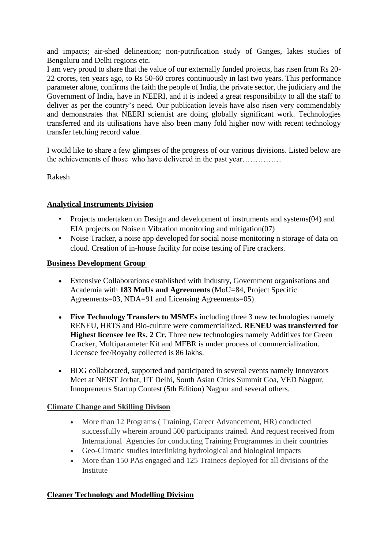and impacts; air-shed delineation; non-putrification study of Ganges, lakes studies of Bengaluru and Delhi regions etc.

I am very proud to share that the value of our externally funded projects, has risen from Rs 20- 22 crores, ten years ago, to Rs 50-60 crores continuously in last two years. This performance parameter alone, confirms the faith the people of India, the private sector, the judiciary and the Government of India, have in NEERI, and it is indeed a great responsibility to all the staff to deliver as per the country's need. Our publication levels have also risen very commendably and demonstrates that NEERI scientist are doing globally significant work. Technologies transferred and its utilisations have also been many fold higher now with recent technology transfer fetching record value.

I would like to share a few glimpses of the progress of our various divisions. Listed below are the achievements of those who have delivered in the past year……………

Rakesh

#### **Analytical Instruments Division**

- Projects undertaken on Design and development of instruments and systems(04) and EIA projects on Noise n Vibration monitoring and mitigation(07)
- Noise Tracker, a noise app developed for social noise monitoring n storage of data on cloud. Creation of in-house facility for noise testing of Fire crackers.

#### **Business Development Group**

- Extensive Collaborations established with Industry, Government organisations and Academia with **183 MoUs and Agreements** (MoU=84, Project Specific Agreements=03, NDA=91 and Licensing Agreements=05)
- **Five Technology Transfers to MSMEs** including three 3 new technologies namely RENEU, HRTS and Bio-culture were commercialized**. RENEU was transferred for Highest licensee fee Rs. 2 Cr.** Three new technologies namely Additives for Green Cracker, Multiparameter Kit and MFBR is under process of commercialization. Licensee fee/Royalty collected is 86 lakhs.
- BDG collaborated, supported and participated in several events namely Innovators Meet at NEIST Jorhat, IIT Delhi, South Asian Cities Summit Goa, VED Nagpur, Innopreneurs Startup Contest (5th Edition) Nagpur and several others.

#### **Climate Change and Skilling Divison**

- More than 12 Programs ( Training, Career Advancement, HR) conducted successfully wherein around 500 participants trained. And request received from International Agencies for conducting Training Programmes in their countries
- Geo-Climatic studies interlinking hydrological and biological impacts
- More than 150 PAs engaged and 125 Trainees deployed for all divisions of the Institute

#### **Cleaner Technology and Modelling Division**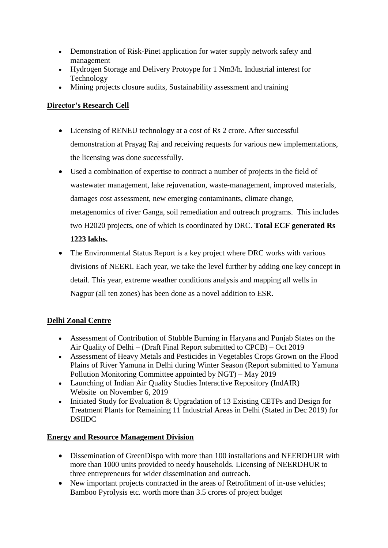- Demonstration of Risk-Pinet application for water supply network safety and management
- Hydrogen Storage and Delivery Protoype for 1 Nm3/h. Industrial interest for Technology
- Mining projects closure audits, Sustainability assessment and training

## **Director's Research Cell**

- Licensing of RENEU technology at a cost of Rs 2 crore. After successful demonstration at Prayag Raj and receiving requests for various new implementations, the licensing was done successfully.
- Used a combination of expertise to contract a number of projects in the field of wastewater management, lake rejuvenation, waste-management, improved materials, damages cost assessment, new emerging contaminants, climate change, metagenomics of river Ganga, soil remediation and outreach programs. This includes two H2020 projects, one of which is coordinated by DRC. **Total ECF generated Rs 1223 lakhs.**
- The Environmental Status Report is a key project where DRC works with various divisions of NEERI. Each year, we take the level further by adding one key concept in detail. This year, extreme weather conditions analysis and mapping all wells in Nagpur (all ten zones) has been done as a novel addition to ESR.

# **Delhi Zonal Centre**

- Assessment of Contribution of Stubble Burning in Haryana and Punjab States on the Air Quality of Delhi – (Draft Final Report submitted to CPCB) – Oct 2019
- Assessment of Heavy Metals and Pesticides in Vegetables Crops Grown on the Flood Plains of River Yamuna in Delhi during Winter Season (Report submitted to Yamuna Pollution Monitoring Committee appointed by NGT) – May 2019
- Launching of Indian Air Quality Studies Interactive Repository (IndAIR) Website on November 6, 2019
- Initiated Study for Evaluation  $&$  Upgradation of 13 Existing CETPs and Design for Treatment Plants for Remaining 11 Industrial Areas in Delhi (Stated in Dec 2019) for DSIIDC

#### **Energy and Resource Management Division**

- Dissemination of GreenDispo with more than 100 installations and NEERDHUR with more than 1000 units provided to needy households. Licensing of NEERDHUR to three entrepreneurs for wider dissemination and outreach.
- New important projects contracted in the areas of Retrofitment of in-use vehicles; Bamboo Pyrolysis etc. worth more than 3.5 crores of project budget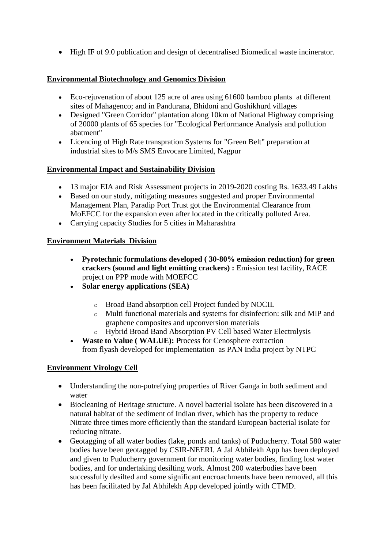High IF of 9.0 publication and design of decentralised Biomedical waste incinerator.

#### **Environmental Biotechnology and Genomics Division**

- Eco-rejuvenation of about 125 acre of area using 61600 bamboo plants at different sites of Mahagenco; and in Pandurana, Bhidoni and Goshikhurd villages
- Designed "Green Corridor" plantation along 10km of National Highway comprising of 20000 plants of 65 species for "Ecological Performance Analysis and pollution abatment"
- Licencing of High Rate transpration Systems for "Green Belt" preparation at industrial sites to M/s SMS Envocare Limited, Nagpur

#### **Environmental Impact and Sustainability Division**

- 13 major EIA and Risk Assessment projects in 2019-2020 costing Rs. 1633.49 Lakhs
- Based on our study, mitigating measures suggested and proper Environmental Management Plan, Paradip Port Trust got the Environmental Clearance from MoEFCC for the expansion even after located in the critically polluted Area.
- Carrying capacity Studies for 5 cities in Maharashtra

#### **Environment Materials Division**

- **Pyrotechnic formulations developed ( 30-80% emission reduction) for green crackers (sound and light emitting crackers) :** Emission test facility, RACE project on PPP mode with MOEFCC
- **Solar energy applications (SEA)**
	- o Broad Band absorption cell Project funded by NOCIL
	- o Multi functional materials and systems for disinfection: silk and MIP and graphene composites and upconversion materials
	- o Hybrid Broad Band Absorption PV Cell based Water Electrolysis
- **Waste to Value ( WALUE): P**rocess for Cenosphere extraction from flyash developed for implementation as PAN India project by NTPC

#### **Environment Virology Cell**

- Understanding the non-putrefying properties of River Ganga in both sediment and water
- Biocleaning of Heritage structure. A novel bacterial isolate has been discovered in a natural habitat of the sediment of Indian river, which has the property to reduce Nitrate three times more efficiently than the standard European bacterial isolate for reducing nitrate.
- Geotagging of all water bodies (lake, ponds and tanks) of Puducherry. Total 580 water bodies have been geotagged by CSIR-NEERI. A Jal Abhilekh App has been deployed and given to Puducherry government for monitoring water bodies, finding lost water bodies, and for undertaking desilting work. Almost 200 waterbodies have been successfully desilted and some significant encroachments have been removed, all this has been facilitated by Jal Abhilekh App developed jointly with CTMD.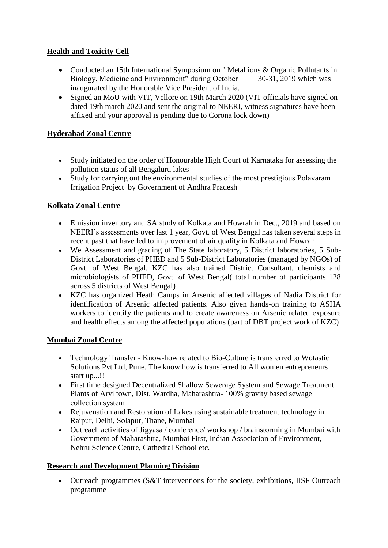## **Health and Toxicity Cell**

- Conducted an 15th International Symposium on " Metal ions & Organic Pollutants in Biology, Medicine and Environment" during October 30-31, 2019 which was inaugurated by the Honorable Vice President of India.
- Signed an MoU with VIT, Vellore on 19th March 2020 (VIT officials have signed on dated 19th march 2020 and sent the original to NEERI, witness signatures have been affixed and your approval is pending due to Corona lock down)

# **Hyderabad Zonal Centre**

- Study initiated on the order of Honourable High Court of Karnataka for assessing the pollution status of all Bengaluru lakes
- Study for carrying out the environmental studies of the most prestigious Polavaram Irrigation Project by Government of Andhra Pradesh

#### **Kolkata Zonal Centre**

- Emission inventory and SA study of Kolkata and Howrah in Dec., 2019 and based on NEERI's assessments over last 1 year, Govt. of West Bengal has taken several steps in recent past that have led to improvement of air quality in Kolkata and Howrah
- We Assessment and grading of The State laboratory, 5 District laboratories, 5 Sub-District Laboratories of PHED and 5 Sub-District Laboratories (managed by NGOs) of Govt. of West Bengal. KZC has also trained District Consultant, chemists and microbiologists of PHED, Govt. of West Bengal( total number of participants 128 across 5 districts of West Bengal)
- KZC has organized Heath Camps in Arsenic affected villages of Nadia District for identification of Arsenic affected patients. Also given hands-on training to ASHA workers to identify the patients and to create awareness on Arsenic related exposure and health effects among the affected populations (part of DBT project work of KZC)

#### **Mumbai Zonal Centre**

- Technology Transfer Know-how related to Bio-Culture is transferred to Wotastic Solutions Pvt Ltd, Pune. The know how is transferred to All women entrepreneurs start up...!!
- First time designed Decentralized Shallow Sewerage System and Sewage Treatment Plants of Arvi town, Dist. Wardha, Maharashtra- 100% gravity based sewage collection system
- Rejuvenation and Restoration of Lakes using sustainable treatment technology in Raipur, Delhi, Solapur, Thane, Mumbai
- Outreach activities of Jigyasa / conference/ workshop / brainstorming in Mumbai with Government of Maharashtra, Mumbai First, Indian Association of Environment, Nehru Science Centre, Cathedral School etc.

#### **Research and Development Planning Division**

 Outreach programmes (S&T interventions for the society, exhibitions, IISF Outreach programme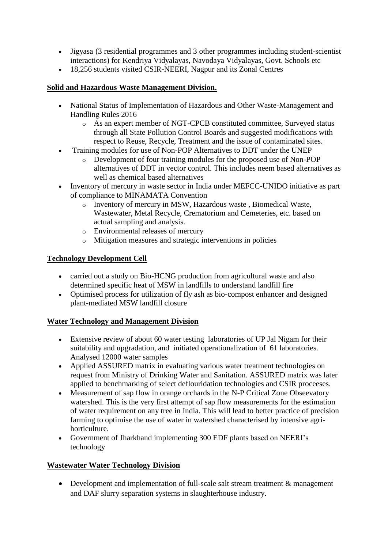- Jigyasa (3 residential programmes and 3 other programmes including student-scientist interactions) for Kendriya Vidyalayas, Navodaya Vidyalayas, Govt. Schools etc
- 18,256 students visited CSIR-NEERI, Nagpur and its Zonal Centres

# **Solid and Hazardous Waste Management Division.**

- National Status of Implementation of Hazardous and Other Waste-Management and Handling Rules 2016
	- o As an expert member of NGT-CPCB constituted committee, Surveyed status through all State Pollution Control Boards and suggested modifications with respect to Reuse, Recycle, Treatment and the issue of contaminated sites.
- Training modules for use of Non-POP Alternatives to DDT under the UNEP
	- o Development of four training modules for the proposed use of Non-POP alternatives of DDT in vector control. This includes neem based alternatives as well as chemical based alternatives
- Inventory of mercury in waste sector in India under MEFCC-UNIDO initiative as part of compliance to MINAMATA Convention
	- o Inventory of mercury in MSW, Hazardous waste , Biomedical Waste, Wastewater, Metal Recycle, Crematorium and Cemeteries, etc. based on actual sampling and analysis.
	- o Environmental releases of mercury
	- o Mitigation measures and strategic interventions in policies

# **Technology Development Cell**

- carried out a study on Bio-HCNG production from agricultural waste and also determined specific heat of MSW in landfills to understand landfill fire
- Optimised process for utilization of fly ash as bio-compost enhancer and designed plant-mediated MSW landfill closure

#### **Water Technology and Management Division**

- Extensive review of about 60 water testing laboratories of UP Jal Nigam for their suitability and upgradation, and initiated operationalization of 61 laboratories. Analysed 12000 water samples
- Applied ASSURED matrix in evaluating various water treatment technologies on request from Ministry of Drinking Water and Sanitation. ASSURED matrix was later applied to benchmarking of select deflouridation technologies and CSIR proceeses.
- Measurement of sap flow in orange orchards in the N-P Critical Zone Obseevatory watershed. This is the very first attempt of sap flow measurements for the estimation of water requirement on any tree in India. This will lead to better practice of precision farming to optimise the use of water in watershed characterised by intensive agrihorticulture.
- Government of Jharkhand implementing 300 EDF plants based on NEERI's technology

#### **Wastewater Water Technology Division**

• Development and implementation of full-scale salt stream treatment & management and DAF slurry separation systems in slaughterhouse industry.